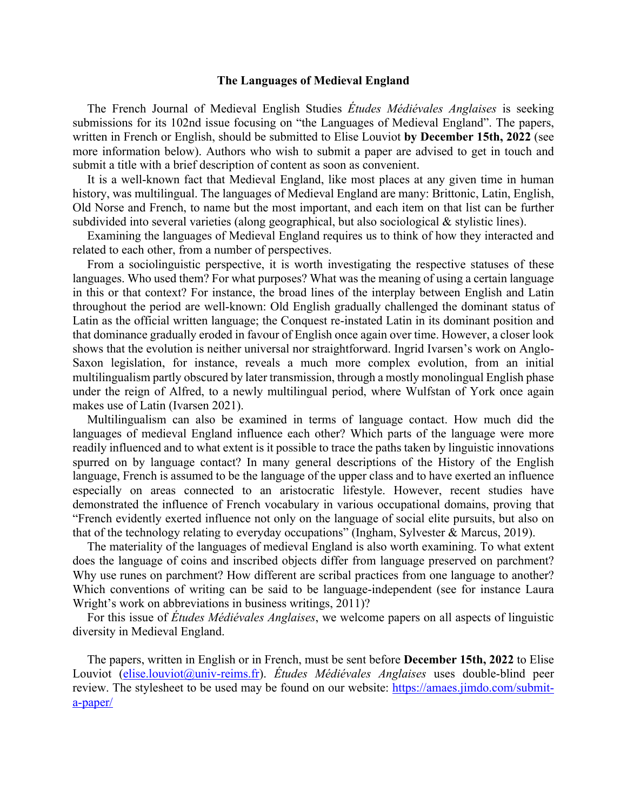## **The Languages of Medieval England**

The French Journal of Medieval English Studies *Études Médiévales Anglaises* is seeking submissions for its 102nd issue focusing on "the Languages of Medieval England". The papers, written in French or English, should be submitted to Elise Louviot **by December 15th, 2022** (see more information below). Authors who wish to submit a paper are advised to get in touch and submit a title with a brief description of content as soon as convenient.

It is a well-known fact that Medieval England, like most places at any given time in human history, was multilingual. The languages of Medieval England are many: Brittonic, Latin, English, Old Norse and French, to name but the most important, and each item on that list can be further subdivided into several varieties (along geographical, but also sociological & stylistic lines).

Examining the languages of Medieval England requires us to think of how they interacted and related to each other, from a number of perspectives.

From a sociolinguistic perspective, it is worth investigating the respective statuses of these languages. Who used them? For what purposes? What was the meaning of using a certain language in this or that context? For instance, the broad lines of the interplay between English and Latin throughout the period are well-known: Old English gradually challenged the dominant status of Latin as the official written language; the Conquest re-instated Latin in its dominant position and that dominance gradually eroded in favour of English once again over time. However, a closer look shows that the evolution is neither universal nor straightforward. Ingrid Ivarsen's work on Anglo-Saxon legislation, for instance, reveals a much more complex evolution, from an initial multilingualism partly obscured by later transmission, through a mostly monolingual English phase under the reign of Alfred, to a newly multilingual period, where Wulfstan of York once again makes use of Latin (Ivarsen 2021).

Multilingualism can also be examined in terms of language contact. How much did the languages of medieval England influence each other? Which parts of the language were more readily influenced and to what extent is it possible to trace the paths taken by linguistic innovations spurred on by language contact? In many general descriptions of the History of the English language, French is assumed to be the language of the upper class and to have exerted an influence especially on areas connected to an aristocratic lifestyle. However, recent studies have demonstrated the influence of French vocabulary in various occupational domains, proving that "French evidently exerted influence not only on the language of social elite pursuits, but also on that of the technology relating to everyday occupations" (Ingham, Sylvester & Marcus, 2019).

The materiality of the languages of medieval England is also worth examining. To what extent does the language of coins and inscribed objects differ from language preserved on parchment? Why use runes on parchment? How different are scribal practices from one language to another? Which conventions of writing can be said to be language-independent (see for instance Laura Wright's work on abbreviations in business writings, 2011)?

For this issue of *Études Médiévales Anglaises*, we welcome papers on all aspects of linguistic diversity in Medieval England.

The papers, written in English or in French, must be sent before **December 15th, 2022** to Elise Louviot (elise.louviot@univ-reims.fr). *Études Médiévales Anglaises* uses double-blind peer review. The stylesheet to be used may be found on our website: https://amaes.jimdo.com/submita-paper/